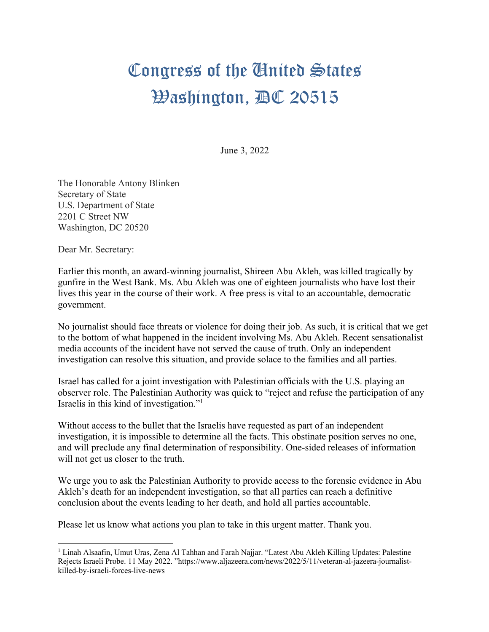## Congress of the Cinited States **Washington, AC 20515**

June 3, 2022

The Honorable Antony Blinken Secretary of State U.S. Department of State 2201 C Street NW Washington, DC 20520

Dear Mr. Secretary:

Earlier this month, an award-winning journalist, Shireen Abu Akleh, was killed tragically by gunfire in the West Bank. Ms. Abu Akleh was one of eighteen journalists who have lost their lives this year in the course of their work. A free press is vital to an accountable, democratic government.

No journalist should face threats or violence for doing their job. As such, it is critical that we get to the bottom of what happened in the incident involving Ms. Abu Akleh. Recent sensationalist media accounts of the incident have not served the cause of truth. Only an independent investigation can resolve this situation, and provide solace to the families and all parties.

Israel has called for a joint investigation with Palestinian officials with the U.S. playing an observer role. The Palestinian Authority was quick to "reject and refuse the participation of any Israelis in this kind of investigation."1

Without access to the bullet that the Israelis have requested as part of an independent investigation, it is impossible to determine all the facts. This obstinate position serves no one, and will preclude any final determination of responsibility. One-sided releases of information will not get us closer to the truth.

We urge you to ask the Palestinian Authority to provide access to the forensic evidence in Abu Akleh's death for an independent investigation, so that all parties can reach a definitive conclusion about the events leading to her death, and hold all parties accountable.

Please let us know what actions you plan to take in this urgent matter. Thank you.

<sup>1</sup> Linah Alsaafin, Umut Uras, Zena Al Tahhan and Farah Najjar. "Latest Abu Akleh Killing Updates: Palestine Rejects Israeli Probe. 11 May 2022. "https://www.aljazeera.com/news/2022/5/11/veteran-al-jazeera-journalistkilled-by-israeli-forces-live-news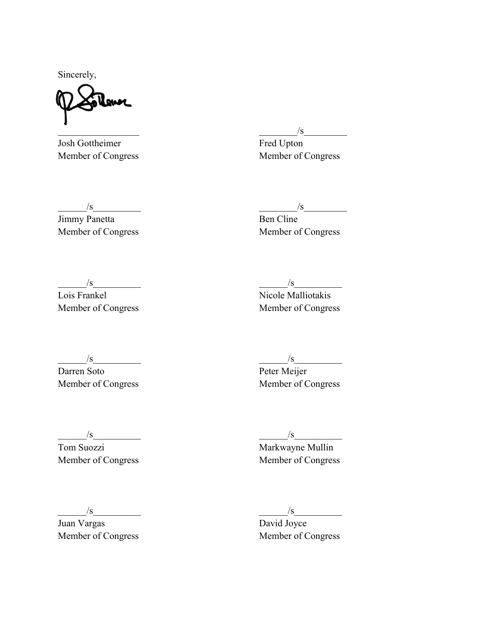Sincerely,

Josh Gottheimer Fred Upton Member of Congress Member of Congress

 $\frac{1}{s}$ 

 $\frac{1}{s}$   $\frac{s}{s}$   $\frac{s}{s}$   $\frac{s}{s}$   $\frac{s}{s}$   $\frac{s}{s}$   $\frac{s}{s}$   $\frac{s}{s}$   $\frac{s}{s}$   $\frac{s}{s}$   $\frac{s}{s}$   $\frac{s}{s}$   $\frac{s}{s}$   $\frac{s}{s}$   $\frac{s}{s}$   $\frac{s}{s}$   $\frac{s}{s}$   $\frac{s}{s}$   $\frac{s}{s}$   $\frac{s}{s}$   $\frac{s}{s}$   $\frac{s}{s}$   $\frac{s}{s}$   $\frac{s}{s}$   $\frac{s$ Jimmy Panetta Ben Cline

Member of Congress Member of Congress

 $\frac{1}{s}$   $\frac{s}{s}$   $\frac{s}{s}$   $\frac{s}{s}$   $\frac{s}{s}$   $\frac{s}{s}$   $\frac{s}{s}$   $\frac{s}{s}$   $\frac{s}{s}$   $\frac{s}{s}$   $\frac{s}{s}$   $\frac{s}{s}$   $\frac{s}{s}$   $\frac{s}{s}$   $\frac{s}{s}$   $\frac{s}{s}$   $\frac{s}{s}$   $\frac{s}{s}$   $\frac{s}{s}$   $\frac{s}{s}$   $\frac{s}{s}$   $\frac{s}{s}$   $\frac{s}{s}$   $\frac{s}{s}$   $\frac{s$ 

Member of Congress Member of Congress

Lois Frankel Nicole Malliotakis

 $\frac{1}{s}$   $\frac{s}{s}$   $\frac{s}{s}$   $\frac{s}{s}$   $\frac{s}{s}$ 

Darren Soto Peter Meijer Member of Congress Member of Congress

Tom Suozzi Markwayne Mullin Member of Congress Member of Congress

 $\frac{1}{s}$   $\frac{s}{s}$   $\frac{s}{s}$   $\frac{s}{s}$   $\frac{s}{s}$   $\frac{s}{s}$   $\frac{s}{s}$   $\frac{s}{s}$   $\frac{s}{s}$   $\frac{s}{s}$   $\frac{s}{s}$   $\frac{s}{s}$   $\frac{s}{s}$   $\frac{s}{s}$   $\frac{s}{s}$   $\frac{s}{s}$   $\frac{s}{s}$   $\frac{s}{s}$   $\frac{s}{s}$   $\frac{s}{s}$   $\frac{s}{s}$   $\frac{s}{s}$   $\frac{s}{s}$   $\frac{s}{s}$   $\frac{s$ 

Juan Vargas David Joyce Member of Congress Member of Congress

 $\frac{1}{s}$   $\frac{s}{s}$   $\frac{s}{s}$   $\frac{s}{s}$   $\frac{s}{s}$   $\frac{s}{s}$   $\frac{s}{s}$   $\frac{s}{s}$   $\frac{s}{s}$   $\frac{s}{s}$   $\frac{s}{s}$   $\frac{s}{s}$   $\frac{s}{s}$   $\frac{s}{s}$   $\frac{s}{s}$   $\frac{s}{s}$   $\frac{s}{s}$   $\frac{s}{s}$   $\frac{s}{s}$   $\frac{s}{s}$   $\frac{s}{s}$   $\frac{s}{s}$   $\frac{s}{s}$   $\frac{s}{s}$   $\frac{s$